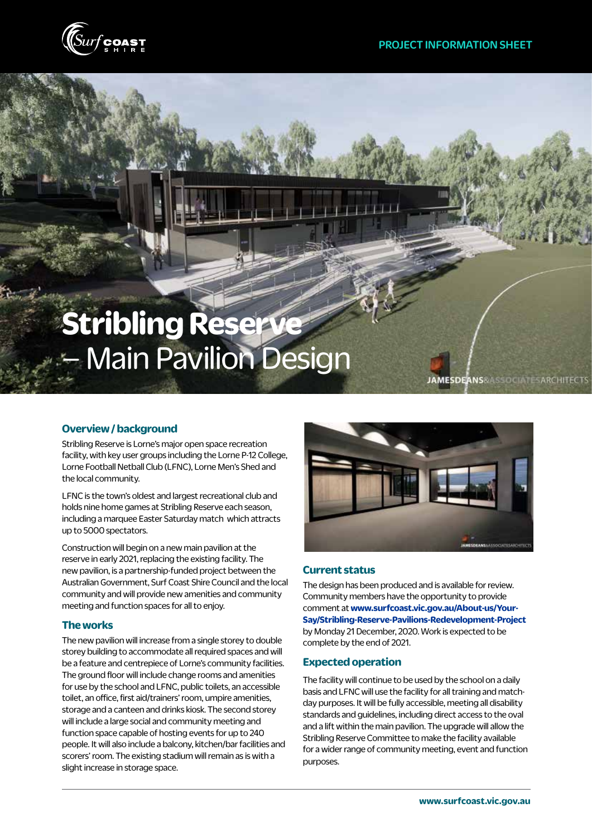

# **Stribling Reserve**  – Main Pavilion Design

JAMESDEANS&ASSOCIATESARCHITECTS

## **Overview / background**

Stribling Reserve is Lorne's major open space recreation facility, with key user groups including the Lorne P-12 College. Lorne Football Netball Club (LFNC), Lorne Men's Shed and the local community.

LFNC is the town's oldest and largest recreational club and holds nine home games at Stribling Reserve each season, including a marquee Easter Saturday match which attracts up to 5000 spectators.

Construction will begin on a new main pavilion at the reserve in early 2021, replacing the existing facility. The new pavilion, is a partnership-funded project between the Australian Government, Surf Coast Shire Council and the local community and will provide new amenities and community meeting and function spaces for all to enjoy.

### **The works**

The new pavilion will increase from a single storey to double storey building to accommodate all required spaces and will be a feature and centrepiece of Lorne's community facilities. The ground floor will include change rooms and amenities for use by the school and LFNC, public toilets, an accessible toilet, an office, first aid/trainers' room, umpire amenities, storage and a canteen and drinks kiosk. The second storey will include a large social and community meeting and function space capable of hosting events for up to 240 people. It will also include a balcony, kitchen/bar facilities and scorers' room. The existing stadium will remain as is with a slight increase in storage space.



### **Current status**

The design has been produced and is available for review. Community members have the opportunity to provide comment at **www.surfcoast.vic.gov.au/About-us/Your-Say/Stribling-Reserve-Pavilions-Redevelopment-Project** by Monday 21 December, 2020. Work is expected to be complete by the end of 2021.

### **Expected operation**

The facility will continue to be used by the school on a daily basis and LFNC will use the facility for all training and matchday purposes. It will be fully accessible, meeting all disability standards and guidelines, including direct access to the oval and a lift within the main pavilion. The upgrade will allow the Stribling Reserve Committee to make the facility available for a wider range of community meeting, event and function purposes.